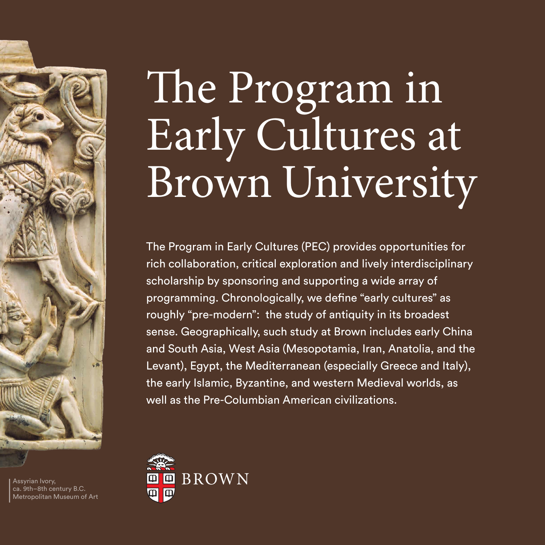### The Program in Early Cultures at Brown University

The Program in Early Cultures (PEC) provides opportunities for rich collaboration, critical exploration and lively interdisciplinary scholarship by sponsoring and supporting a wide array of programming. Chronologically, we define "early cultures" as roughly "pre-modern": the study of antiquity in its broadest sense. Geographically, such study at Brown includes early China and South Asia, West Asia (Mesopotamia, Iran, Anatolia, and the Levant), Egypt, the Mediterranean (especially Greece and Italy), the early Islamic, Byzantine, and western Medieval worlds, as well as the Pre-Columbian American civilizations.



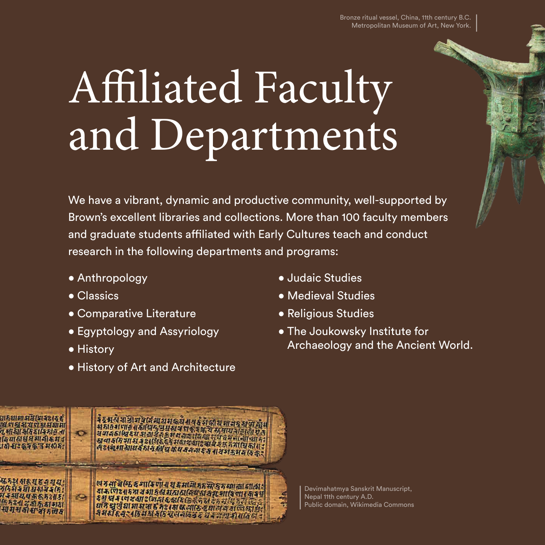

### Affiliated Faculty and Departments

We have a vibrant, dynamic and productive community, well-supported by Brown's excellent libraries and collections. More than 100 faculty members and graduate students affiliated with Early Cultures teach and conduct research in the following departments and programs:

- Anthropology
- Classics
- Comparative Literature
- Egyptology and Assyriology
- History
- History of Art and Architecture
- Judaic Studies
- Medieval Studies
- Religious Studies
- The Joukowsky Institute for Archaeology and the Ancient World.



Devimahatmya Sanskrit Manuscript, Nepal 11th century A.D. Public domain, Wikimedia Commons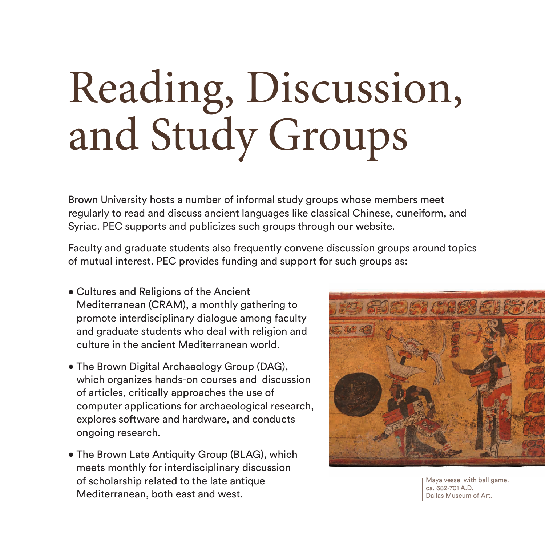## Reading, Discussion, and Study Groups

Brown University hosts a number of informal study groups whose members meet regularly to read and discuss ancient languages like classical Chinese, cuneiform, and Syriac. PEC supports and publicizes such groups through our website.

Faculty and graduate students also frequently convene discussion groups around topics of mutual interest. PEC provides funding and support for such groups as:

- Cultures and Religions of the Ancient Mediterranean (CRAM), a monthly gathering to promote interdisciplinary dialogue among faculty and graduate students who deal with religion and culture in the ancient Mediterranean world.
- The Brown Digital Archaeology Group (DAG), which organizes hands-on courses and discussion of articles, critically approaches the use of computer applications for archaeological research, explores software and hardware, and conducts ongoing research.
- The Brown Late Antiquity Group (BLAG), which meets monthly for interdisciplinary discussion of scholarship related to the late antique Mediterranean, both east and west.



Maya vessel with ball game. ca. 682-701 A.D. Dallas Museum of Art.